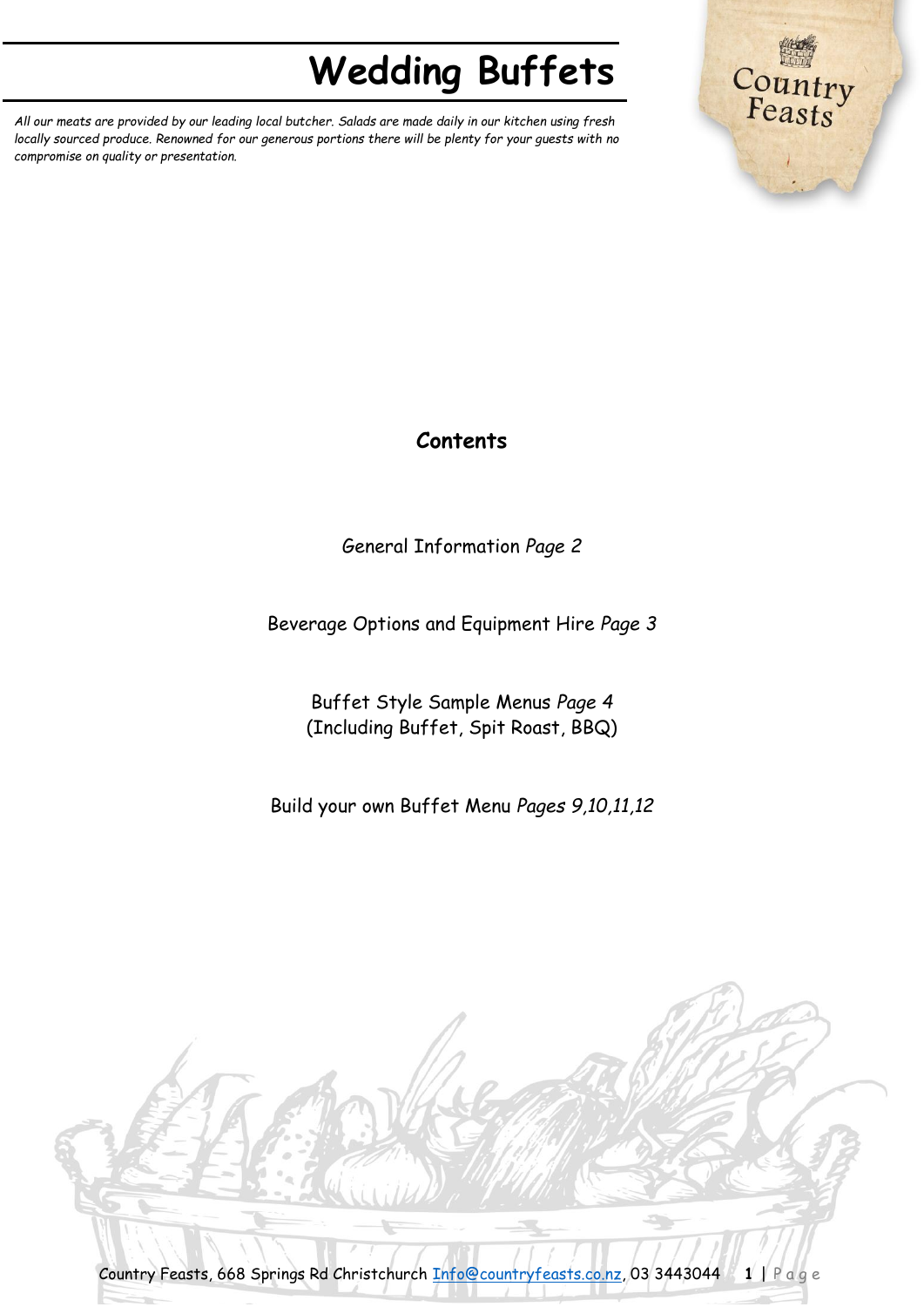*All our meats are provided by our leading local butcher. Salads are made daily in our kitchen using fresh locally sourced produce. Renowned for our generous portions there will be plenty for your guests with no compromise on quality or presentation.*



# **Contents**

General Information *Page 2*

Beverage Options and Equipment Hire *Page 3*

Buffet Style Sample Menus *Page 4* (Including Buffet, Spit Roast, BBQ)

Build your own Buffet Menu *Pages 9,10,11,12*

Country Feasts, 668 Springs Rd Christchurch [Info@countryfeasts.co.nz,](mailto:Info@countryfeasts.co.nz) 03 3443044 **1** | P a g e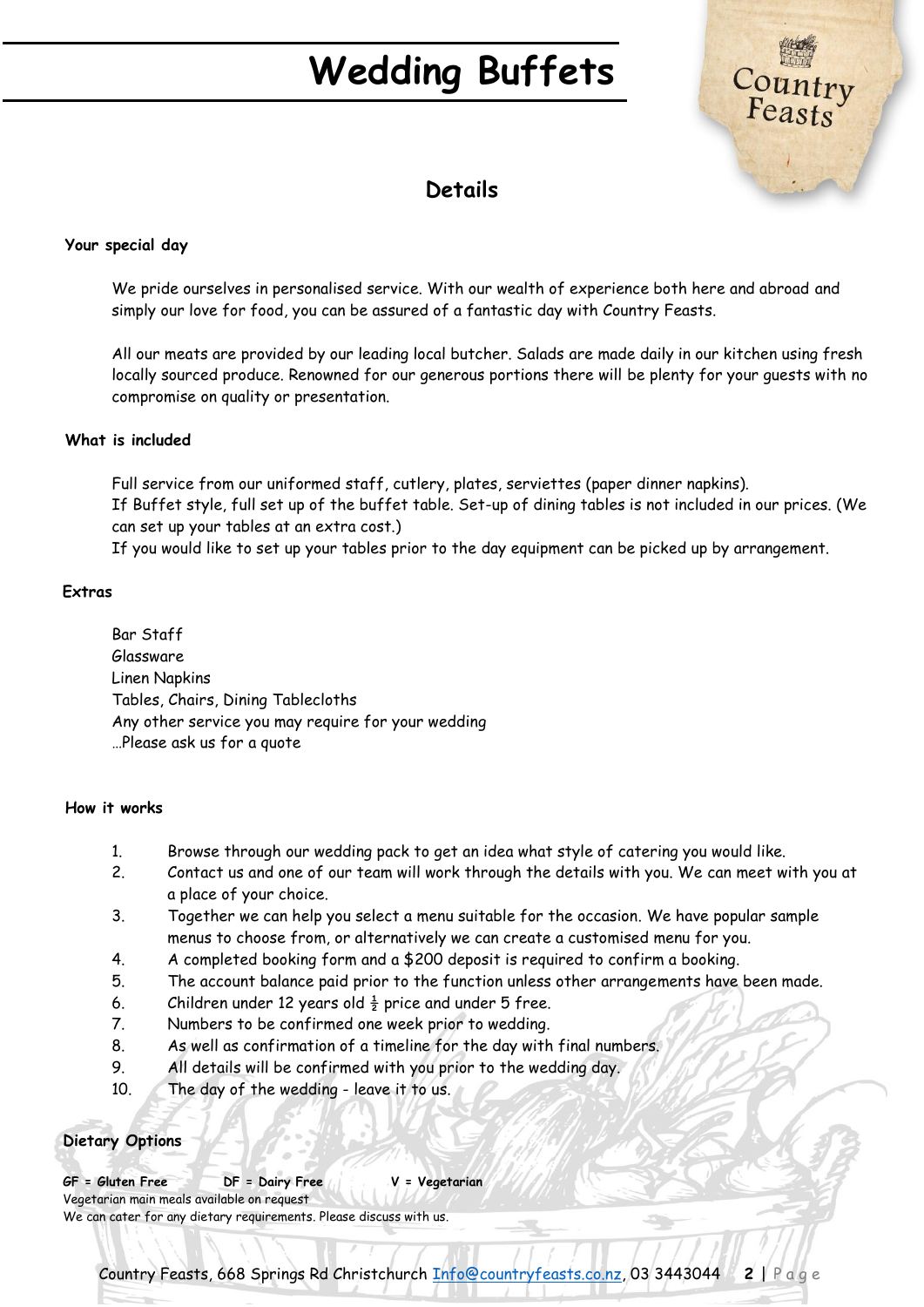

# **Details**

#### **Your special day**

We pride ourselves in personalised service. With our wealth of experience both here and abroad and simply our love for food, you can be assured of a fantastic day with Country Feasts.

All our meats are provided by our leading local butcher. Salads are made daily in our kitchen using fresh locally sourced produce. Renowned for our generous portions there will be plenty for your guests with no compromise on quality or presentation.

#### **What is included**

Full service from our uniformed staff, cutlery, plates, serviettes (paper dinner napkins). If Buffet style, full set up of the buffet table. Set-up of dining tables is not included in our prices. (We can set up your tables at an extra cost.)

If you would like to set up your tables prior to the day equipment can be picked up by arrangement.

#### **Extras**

Bar Staff Glassware Linen Napkins Tables, Chairs, Dining Tablecloths Any other service you may require for your wedding …Please ask us for a quote

#### **How it works**

- 1. Browse through our wedding pack to get an idea what style of catering you would like.
- 2. Contact us and one of our team will work through the details with you. We can meet with you at a place of your choice.
- 3. Together we can help you select a menu suitable for the occasion. We have popular sample menus to choose from, or alternatively we can create a customised menu for you.
- 4. A completed booking form and a \$200 deposit is required to confirm a booking.
- 5. The account balance paid prior to the function unless other arrangements have been made.
- 6. Children under 12 years old  $\frac{1}{2}$  price and under 5 free.
- 7. Numbers to be confirmed one week prior to wedding.
- 8. As well as confirmation of a timeline for the day with final numbers.
- 9. All details will be confirmed with you prior to the wedding day.
- 10. The day of the wedding leave it to us.

#### **Dietary Options**

**GF = Gluten Free DF = Dairy Free V = Vegetarian** Vegetarian main meals available on request We can cater for any dietary requirements. Please discuss with us.

Country Feasts, 668 Springs Rd Christchurch [Info@countryfeasts.co.nz,](mailto:Info@countryfeasts.co.nz) 03 3443044 **2** | P a g e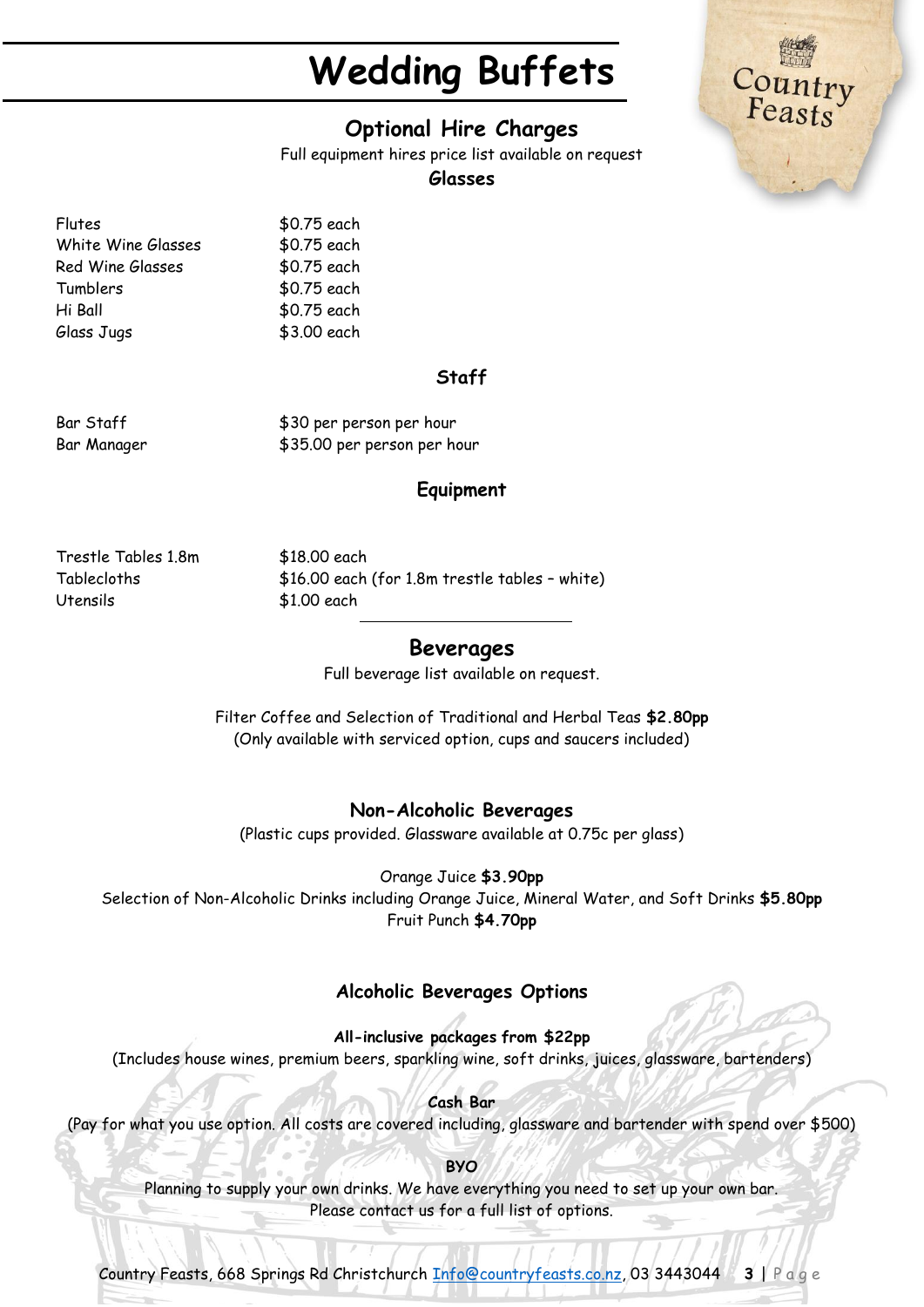# **Optional Hire Charges**

Full equipment hires price list available on request

#### **Glasses**

Flutes \$0.75 each White Wine Glasses \$0.75 each Red Wine Glasses \$0.75 each Tumblers \$0.75 each Hi Ball \$0.75 each Glass Jugs \$3.00 each

#### **Staff**

Bar Staff  $$30$  per person per hour Bar Manager  $$35.00$  per person per hour

#### **Equipment**

Trestle Tables 1.8m \$18.00 each Utensils \$1.00 each

Tablecloths \$16.00 each (for 1.8m trestle tables – white)

#### **Beverages**

Full beverage list available on request.

Filter Coffee and Selection of Traditional and Herbal Teas **\$2.80pp** (Only available with serviced option, cups and saucers included)

#### **Non-Alcoholic Beverages**

(Plastic cups provided. Glassware available at 0.75c per glass)

Orange Juice **\$3.90pp**

Selection of Non-Alcoholic Drinks including Orange Juice, Mineral Water, and Soft Drinks **\$5.80pp** Fruit Punch **\$4.70pp**

## **Alcoholic Beverages Options**

**All-inclusive packages from \$22pp** (Includes house wines, premium beers, sparkling wine, soft drinks, juices, glassware, bartenders)

**Cash Bar** (Pay for what you use option. All costs are covered including, glassware and bartender with spend over \$500)

**BYO** Planning to supply your own drinks. We have everything you need to set up your own bar. Please contact us for a full list of options.

Country Feasts, 668 Springs Rd Christchurch [Info@countryfeasts.co.nz,](mailto:Info@countryfeasts.co.nz) 03 3443044 **3** | P a g e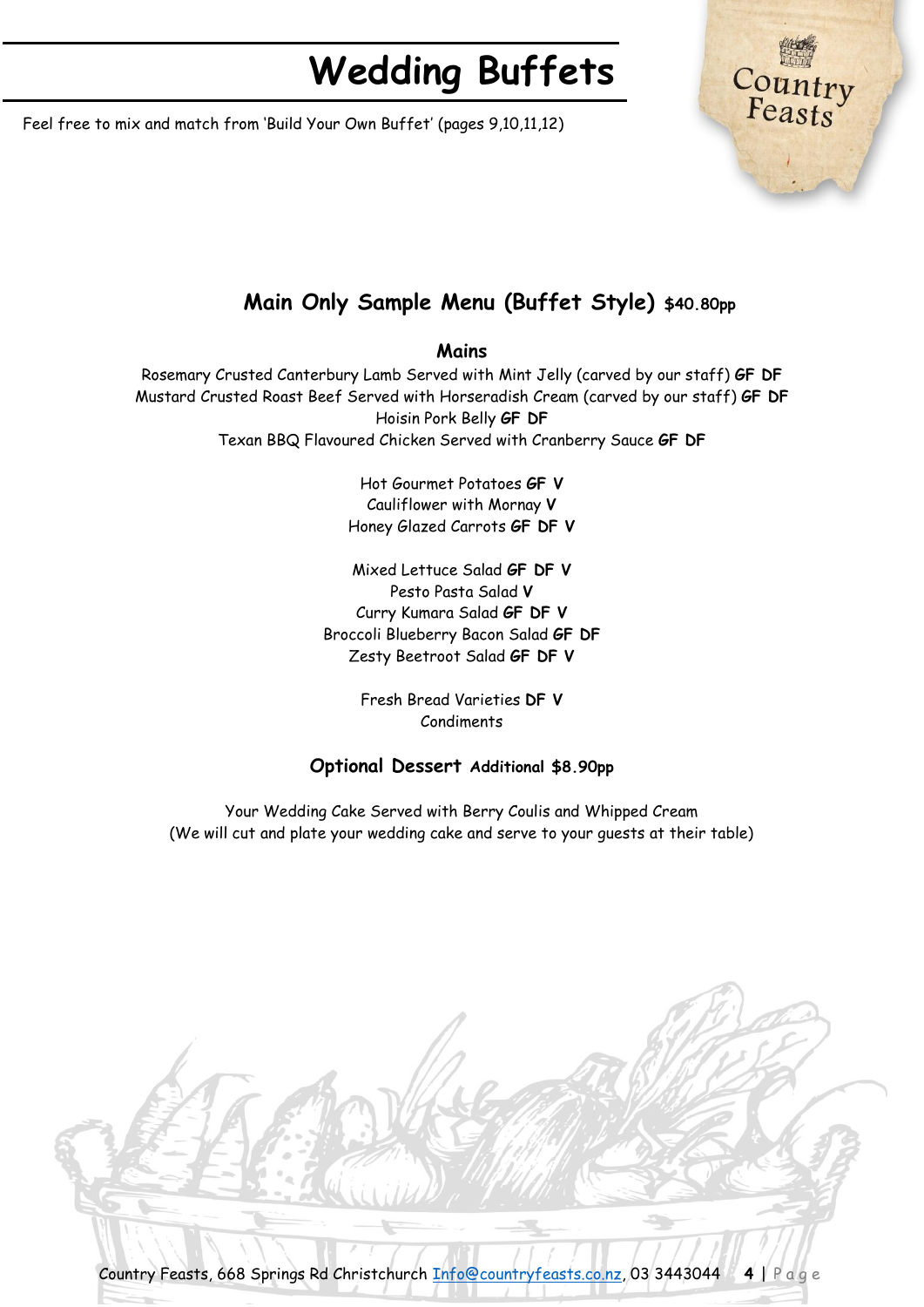Feel free to mix and match from 'Build Your Own Buffet' (pages 9,10,11,12)

# Countr<br>Feasts

# **Main Only Sample Menu (Buffet Style) \$40.80pp**

#### **Mains**

Rosemary Crusted Canterbury Lamb Served with Mint Jelly (carved by our staff) **GF DF** Mustard Crusted Roast Beef Served with Horseradish Cream (carved by our staff) **GF DF** Hoisin Pork Belly **GF DF** Texan BBQ Flavoured Chicken Served with Cranberry Sauce **GF DF**

> Hot Gourmet Potatoes **GF V** Cauliflower with Mornay **V** Honey Glazed Carrots **GF DF V**

Mixed Lettuce Salad **GF DF V** Pesto Pasta Salad **V** Curry Kumara Salad **GF DF V** Broccoli Blueberry Bacon Salad **GF DF** Zesty Beetroot Salad **GF DF V**

> Fresh Bread Varieties **DF V** Condiments

#### **Optional Dessert Additional \$8.90pp**

Your Wedding Cake Served with Berry Coulis and Whipped Cream (We will cut and plate your wedding cake and serve to your guests at their table)

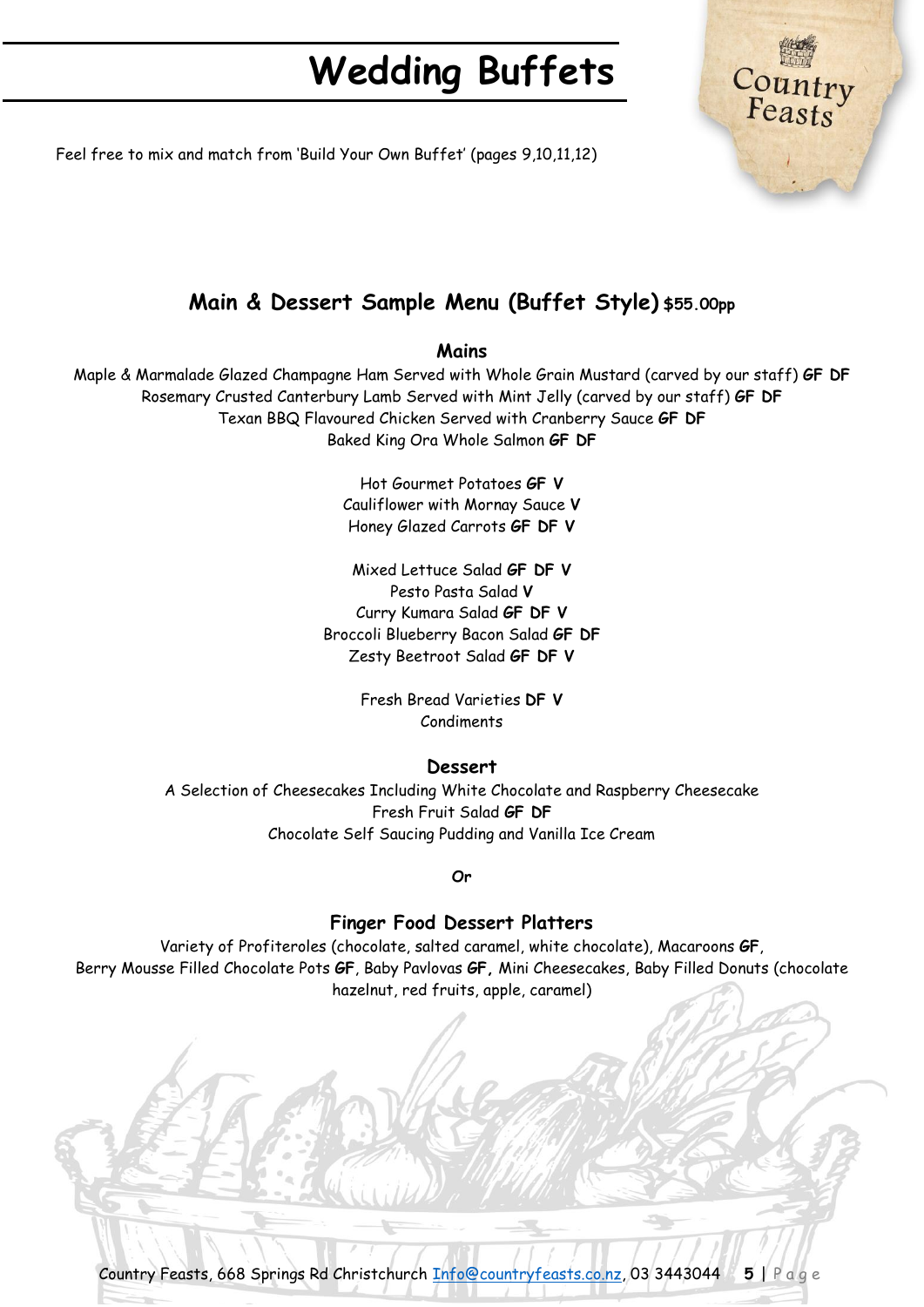

Feel free to mix and match from 'Build Your Own Buffet' (pages 9,10,11,12)

# **Main & Dessert Sample Menu (Buffet Style) \$55.00pp**

#### **Mains**

Maple & Marmalade Glazed Champagne Ham Served with Whole Grain Mustard (carved by our staff) **GF DF** Rosemary Crusted Canterbury Lamb Served with Mint Jelly (carved by our staff) **GF DF** Texan BBQ Flavoured Chicken Served with Cranberry Sauce **GF DF** Baked King Ora Whole Salmon **GF DF**

> Hot Gourmet Potatoes **GF V** Cauliflower with Mornay Sauce **V** Honey Glazed Carrots **GF DF V**

Mixed Lettuce Salad **GF DF V** Pesto Pasta Salad **V** Curry Kumara Salad **GF DF V** Broccoli Blueberry Bacon Salad **GF DF** Zesty Beetroot Salad **GF DF V**

> Fresh Bread Varieties **DF V** Condiments

#### **Dessert**

A Selection of Cheesecakes Including White Chocolate and Raspberry Cheesecake Fresh Fruit Salad **GF DF** Chocolate Self Saucing Pudding and Vanilla Ice Cream

**Or**

#### **Finger Food Dessert Platters**

Variety of Profiteroles (chocolate, salted caramel, white chocolate), Macaroons **GF**, Berry Mousse Filled Chocolate Pots **GF**, Baby Pavlovas **GF,** Mini Cheesecakes, Baby Filled Donuts (chocolate hazelnut, red fruits, apple, caramel)

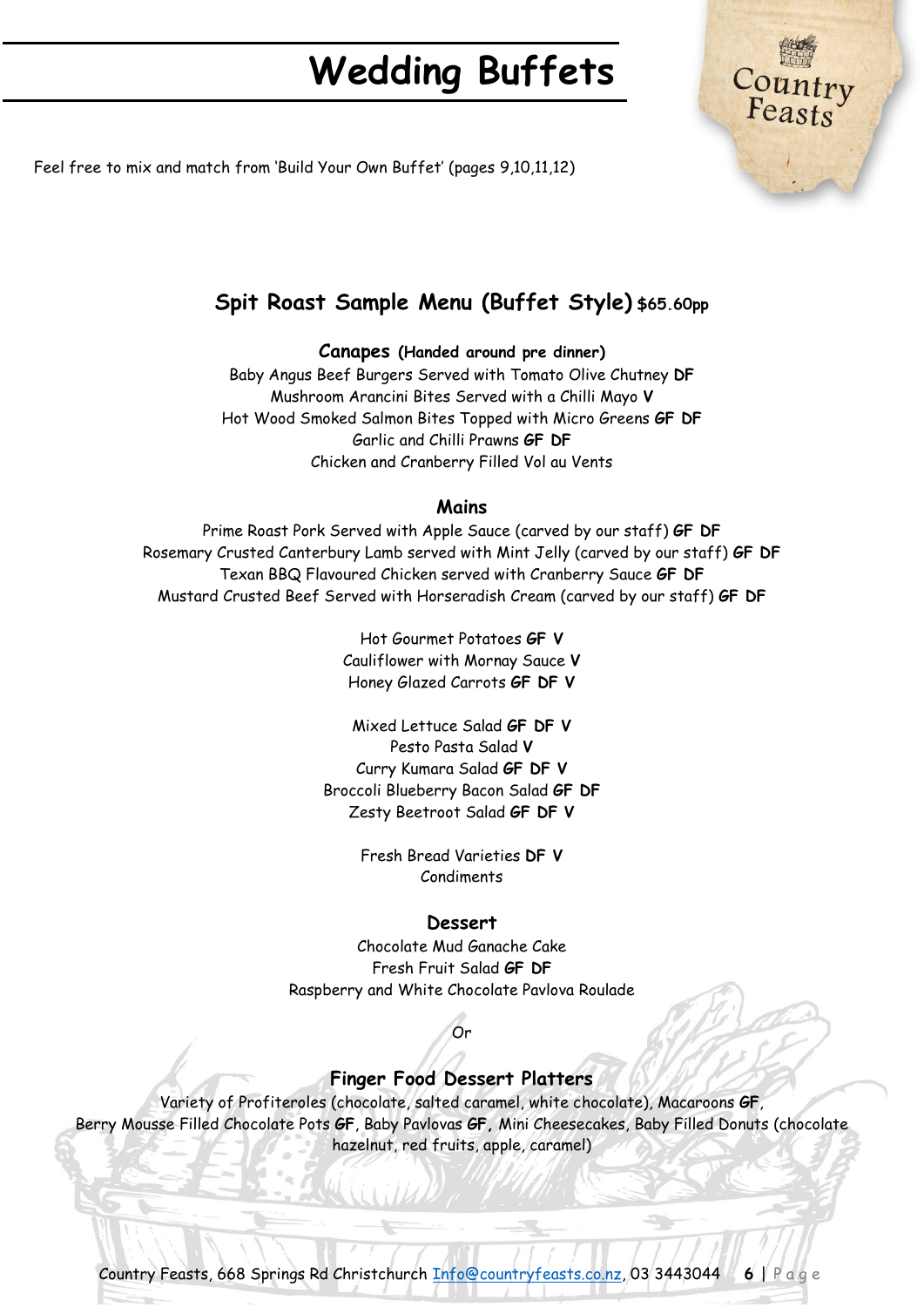

Feel free to mix and match from 'Build Your Own Buffet' (pages 9,10,11,12)

# **Spit Roast Sample Menu (Buffet Style) \$65.60pp**

#### **Canapes (Handed around pre dinner)**

Baby Angus Beef Burgers Served with Tomato Olive Chutney **DF** Mushroom Arancini Bites Served with a Chilli Mayo **V** Hot Wood Smoked Salmon Bites Topped with Micro Greens **GF DF** Garlic and Chilli Prawns **GF DF** Chicken and Cranberry Filled Vol au Vents

#### **Mains**

Prime Roast Pork Served with Apple Sauce (carved by our staff) **GF DF** Rosemary Crusted Canterbury Lamb served with Mint Jelly (carved by our staff) **GF DF** Texan BBQ Flavoured Chicken served with Cranberry Sauce **GF DF** Mustard Crusted Beef Served with Horseradish Cream (carved by our staff) **GF DF**

> Hot Gourmet Potatoes **GF V** Cauliflower with Mornay Sauce **V** Honey Glazed Carrots **GF DF V**

Mixed Lettuce Salad **GF DF V** Pesto Pasta Salad **V** Curry Kumara Salad **GF DF V** Broccoli Blueberry Bacon Salad **GF DF** Zesty Beetroot Salad **GF DF V**

> Fresh Bread Varieties **DF V** Condiments

#### **Dessert**

Chocolate Mud Ganache Cake Fresh Fruit Salad **GF DF** Raspberry and White Chocolate Pavlova Roulade

# Or

#### **Finger Food Dessert Platters**

Variety of Profiteroles (chocolate, salted caramel, white chocolate), Macaroons **GF**, Berry Mousse Filled Chocolate Pots **GF**, Baby Pavlovas **GF,** Mini Cheesecakes, Baby Filled Donuts (chocolate hazelnut, red fruits, apple, caramel)

Country Feasts, 668 Springs Rd Christchurch [Info@countryfeasts.co.nz,](mailto:Info@countryfeasts.co.nz) 03 3443044 **6** | P a g e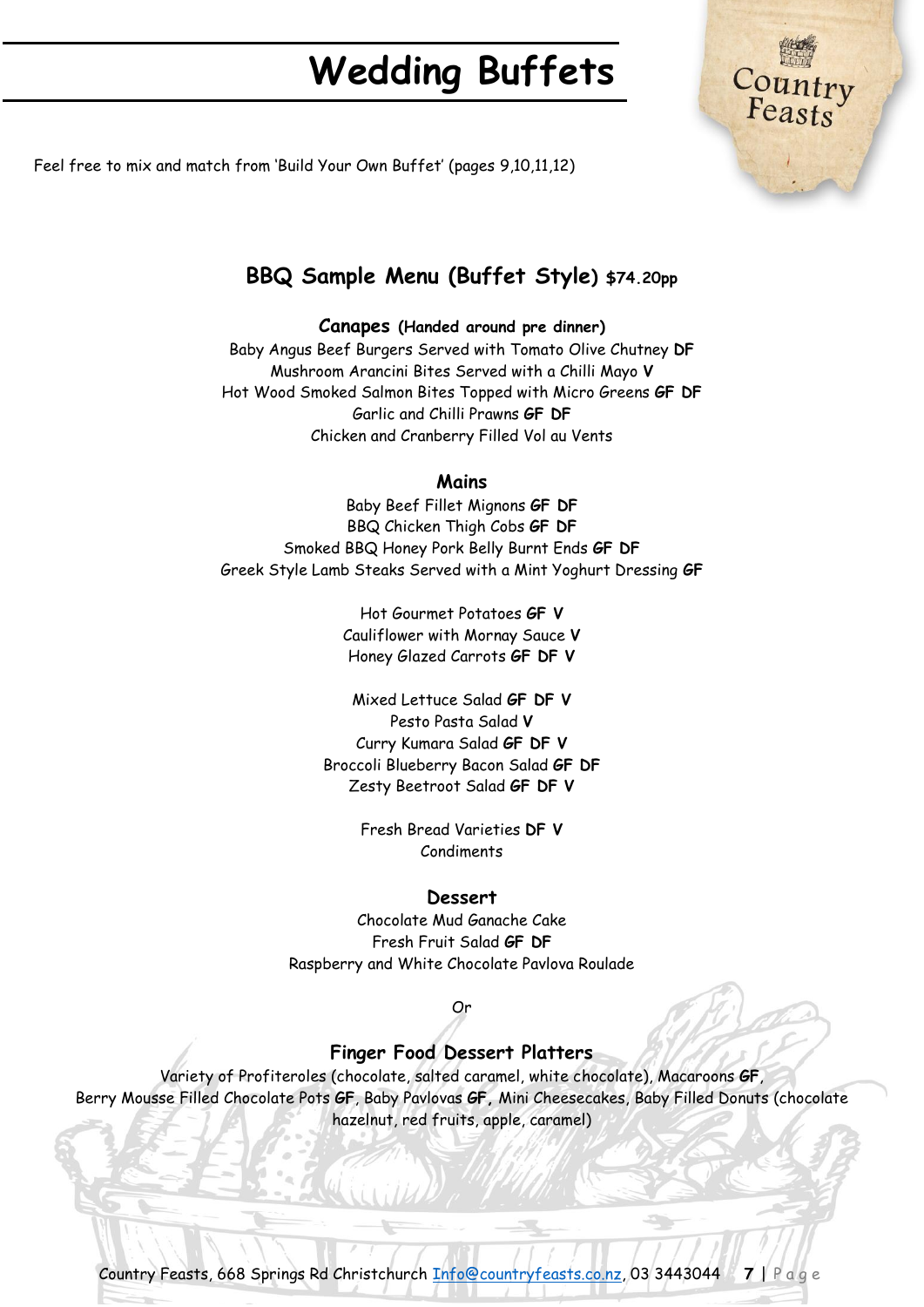

Feel free to mix and match from 'Build Your Own Buffet' (pages 9,10,11,12)

# **BBQ Sample Menu (Buffet Style) \$74.20pp**

**Canapes (Handed around pre dinner)** 

Baby Angus Beef Burgers Served with Tomato Olive Chutney **DF** Mushroom Arancini Bites Served with a Chilli Mayo **V** Hot Wood Smoked Salmon Bites Topped with Micro Greens **GF DF** Garlic and Chilli Prawns **GF DF** Chicken and Cranberry Filled Vol au Vents

#### **Mains**

Baby Beef Fillet Mignons **GF DF** BBQ Chicken Thigh Cobs **GF DF** Smoked BBQ Honey Pork Belly Burnt Ends **GF DF** Greek Style Lamb Steaks Served with a Mint Yoghurt Dressing **GF**

> Hot Gourmet Potatoes **GF V** Cauliflower with Mornay Sauce **V** Honey Glazed Carrots **GF DF V**

Mixed Lettuce Salad **GF DF V** Pesto Pasta Salad **V** Curry Kumara Salad **GF DF V** Broccoli Blueberry Bacon Salad **GF DF** Zesty Beetroot Salad **GF DF V**

> Fresh Bread Varieties **DF V** Condiments

#### **Dessert**

Chocolate Mud Ganache Cake Fresh Fruit Salad **GF DF** Raspberry and White Chocolate Pavlova Roulade

#### Or

## **Finger Food Dessert Platters**

Variety of Profiteroles (chocolate, salted caramel, white chocolate), Macaroons **GF**, Berry Mousse Filled Chocolate Pots **GF**, Baby Pavlovas **GF,** Mini Cheesecakes, Baby Filled Donuts (chocolate hazelnut, red fruits, apple, caramel)

Country Feasts, 668 Springs Rd Christchurch [Info@countryfeasts.co.nz,](mailto:Info@countryfeasts.co.nz) 03 3443044 **7** | P a g e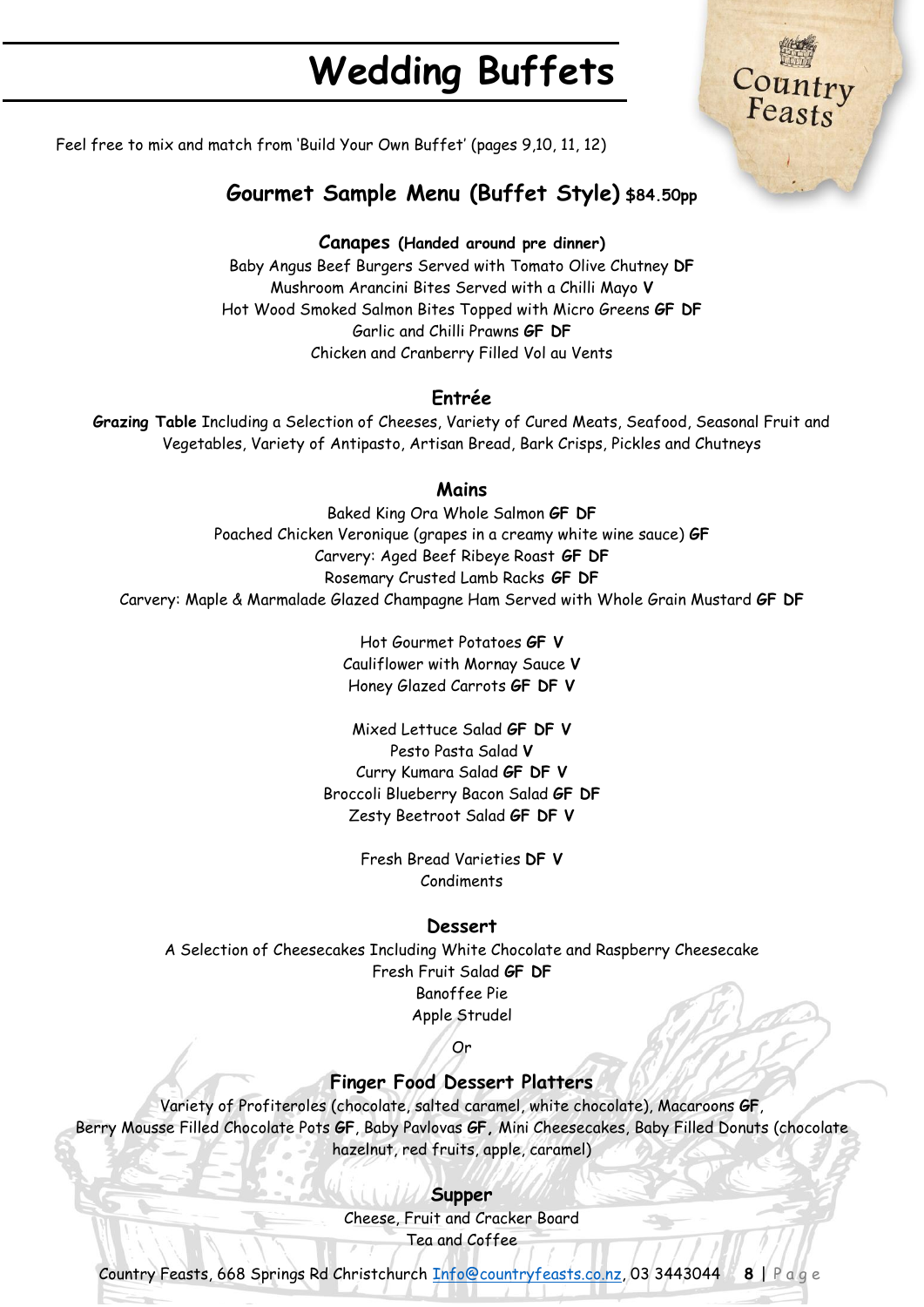

Feel free to mix and match from 'Build Your Own Buffet' (pages 9,10, 11, 12)

# **Gourmet Sample Menu (Buffet Style) \$84.50pp**

#### **Canapes (Handed around pre dinner)**

Baby Angus Beef Burgers Served with Tomato Olive Chutney **DF** Mushroom Arancini Bites Served with a Chilli Mayo **V** Hot Wood Smoked Salmon Bites Topped with Micro Greens **GF DF** Garlic and Chilli Prawns **GF DF** Chicken and Cranberry Filled Vol au Vents

#### **Entrée**

**Grazing Table** Including a Selection of Cheeses, Variety of Cured Meats, Seafood, Seasonal Fruit and Vegetables, Variety of Antipasto, Artisan Bread, Bark Crisps, Pickles and Chutneys

#### **Mains**

Baked King Ora Whole Salmon **GF DF** Poached Chicken Veronique (grapes in a creamy white wine sauce) **GF** Carvery: Aged Beef Ribeye Roast **GF DF** Rosemary Crusted Lamb Racks **GF DF** Carvery: Maple & Marmalade Glazed Champagne Ham Served with Whole Grain Mustard **GF DF**

> Hot Gourmet Potatoes **GF V** Cauliflower with Mornay Sauce **V** Honey Glazed Carrots **GF DF V**

Mixed Lettuce Salad **GF DF V** Pesto Pasta Salad **V** Curry Kumara Salad **GF DF V** Broccoli Blueberry Bacon Salad **GF DF** Zesty Beetroot Salad **GF DF V**

> Fresh Bread Varieties **DF V** Condiments

#### **Dessert**

A Selection of Cheesecakes Including White Chocolate and Raspberry Cheesecake Fresh Fruit Salad **GF DF** Banoffee Pie Apple Strudel

## Or

## **Finger Food Dessert Platters**

Variety of Profiteroles (chocolate, salted caramel, white chocolate), Macaroons **GF**, Berry Mousse Filled Chocolate Pots **GF**, Baby Pavlovas **GF,** Mini Cheesecakes, Baby Filled Donuts (chocolate hazelnut, red fruits, apple, caramel)

#### **Supper**

Cheese, Fruit and Cracker Board Tea and Coffee

Country Feasts, 668 Springs Rd Christchurch [Info@countryfeasts.co.nz,](mailto:Info@countryfeasts.co.nz) 03 3443044 **8** | P a g e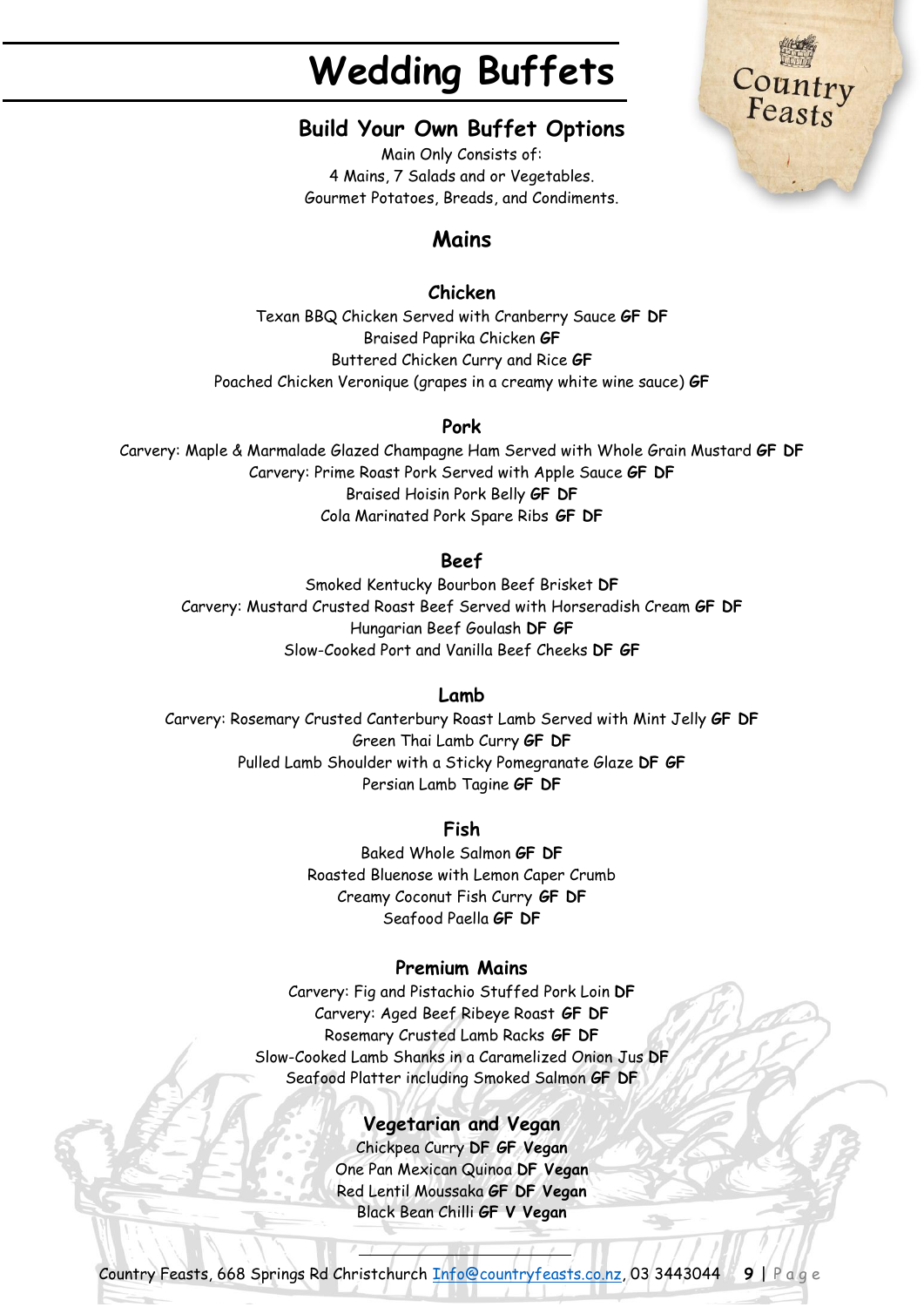Country<br>Feasts

## **Build Your Own Buffet Options**

Main Only Consists of: 4 Mains, 7 Salads and or Vegetables. Gourmet Potatoes, Breads, and Condiments.

# **Mains**

## **Chicken**

Texan BBQ Chicken Served with Cranberry Sauce **GF DF** Braised Paprika Chicken **GF** Buttered Chicken Curry and Rice **GF** Poached Chicken Veronique (grapes in a creamy white wine sauce) **GF**

#### **Pork**

Carvery: Maple & Marmalade Glazed Champagne Ham Served with Whole Grain Mustard **GF DF** Carvery: Prime Roast Pork Served with Apple Sauce **GF DF** Braised Hoisin Pork Belly **GF DF** Cola Marinated Pork Spare Ribs **GF DF**

## **Beef**

Smoked Kentucky Bourbon Beef Brisket **DF** Carvery: Mustard Crusted Roast Beef Served with Horseradish Cream **GF DF** Hungarian Beef Goulash **DF GF** Slow-Cooked Port and Vanilla Beef Cheeks **DF GF**

#### **Lamb**

Carvery: Rosemary Crusted Canterbury Roast Lamb Served with Mint Jelly **GF DF** Green Thai Lamb Curry **GF DF** Pulled Lamb Shoulder with a Sticky Pomegranate Glaze **DF GF** Persian Lamb Tagine **GF DF**

## **Fish**

Baked Whole Salmon **GF DF** Roasted Bluenose with Lemon Caper Crumb Creamy Coconut Fish Curry **GF DF** Seafood Paella **GF DF**

## **Premium Mains**

Carvery: Fig and Pistachio Stuffed Pork Loin **DF** Carvery: Aged Beef Ribeye Roast **GF DF** Rosemary Crusted Lamb Racks **GF DF** Slow-Cooked Lamb Shanks in a Caramelized Onion Jus **DF** Seafood Platter including Smoked Salmon **GF DF**

#### **Vegetarian and Vegan**

Chickpea Curry **DF GF Vegan** One Pan Mexican Quinoa **DF Vegan** Red Lentil Moussaka **GF DF Vegan** Black Bean Chilli **GF V Vegan**

Country Feasts, 668 Springs Rd Christchurch [Info@countryfeasts.co.nz,](mailto:Info@countryfeasts.co.nz) 03 3443044 **9** | P a g e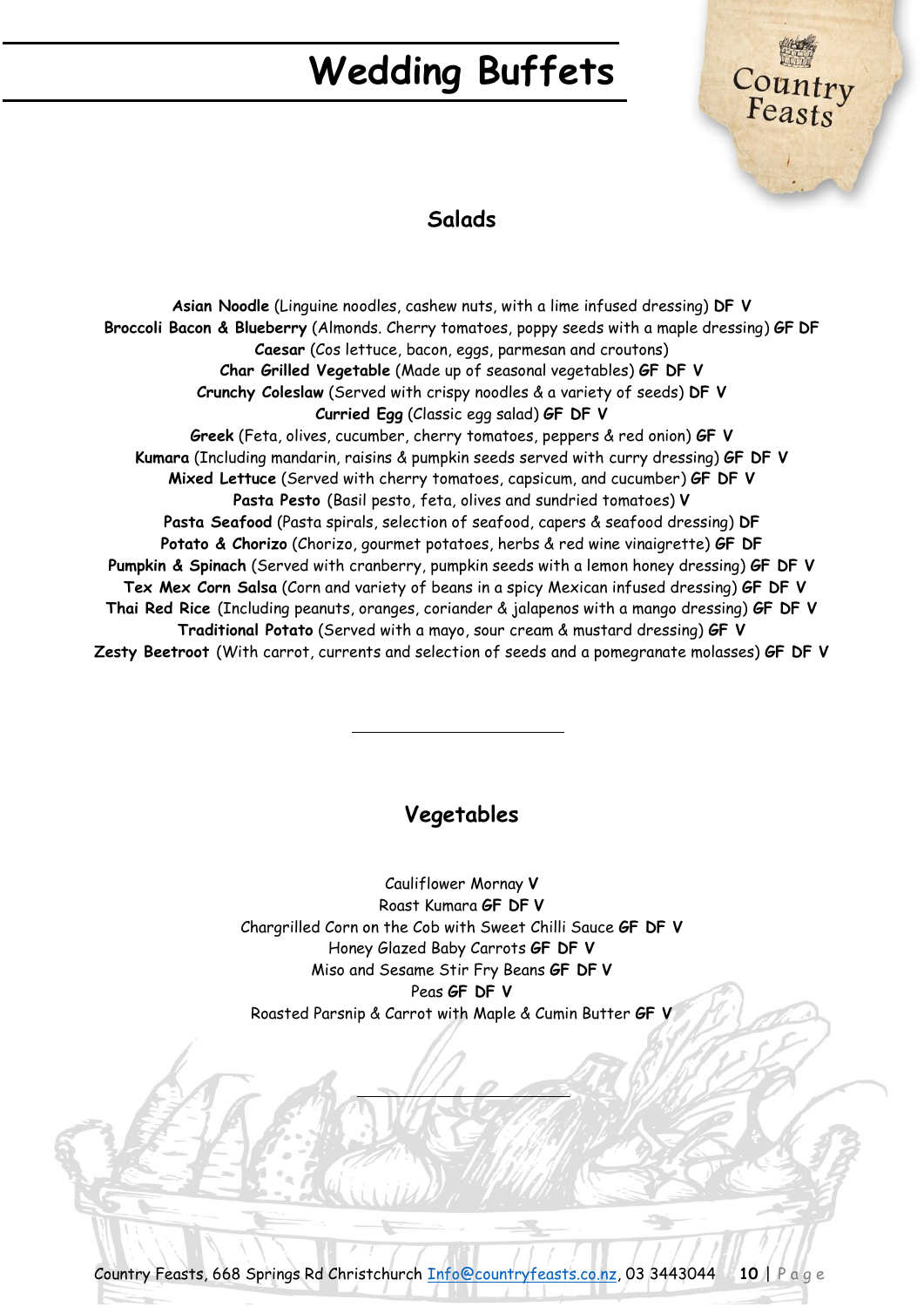

## **Salads**

**Asian Noodle** (Linguine noodles, cashew nuts, with a lime infused dressing) **DF V Broccoli Bacon & Blueberry** (Almonds. Cherry tomatoes, poppy seeds with a maple dressing) **GF DF Caesar** (Cos lettuce, bacon, eggs, parmesan and croutons) **Char Grilled Vegetable** (Made up of seasonal vegetables) **GF DF V Crunchy Coleslaw** (Served with crispy noodles & a variety of seeds) **DF V Curried Egg** (Classic egg salad) **GF DF V Greek** (Feta, olives, cucumber, cherry tomatoes, peppers & red onion) **GF V Kumara** (Including mandarin, raisins & pumpkin seeds served with curry dressing) **GF DF V Mixed Lettuce** (Served with cherry tomatoes, capsicum, and cucumber) **GF DF V Pasta Pesto** (Basil pesto, feta, olives and sundried tomatoes) **V Pasta Seafood** (Pasta spirals, selection of seafood, capers & seafood dressing) **DF Potato & Chorizo** (Chorizo, gourmet potatoes, herbs & red wine vinaigrette) **GF DF Pumpkin & Spinach** (Served with cranberry, pumpkin seeds with a lemon honey dressing) **GF DF V Tex Mex Corn Salsa** (Corn and variety of beans in a spicy Mexican infused dressing) **GF DF V Thai Red Rice** (Including peanuts, oranges, coriander & jalapenos with a mango dressing) **GF DF V Traditional Potato** (Served with a mayo, sour cream & mustard dressing) **GF V Zesty Beetroot** (With carrot, currents and selection of seeds and a pomegranate molasses) **GF DF V**

# **Vegetables**

Cauliflower Mornay **V** Roast Kumara **GF DF V** Chargrilled Corn on the Cob with Sweet Chilli Sauce **GF DF V** Honey Glazed Baby Carrots **GF DF V** Miso and Sesame Stir Fry Beans **GF DF V** Peas **GF DF V**  Roasted Parsnip & Carrot with Maple & Cumin Butter **GF V**

Country Feasts, 668 Springs Rd Christchurch [Info@countryfeasts.co.nz,](mailto:Info@countryfeasts.co.nz) 03 3443044 **10** | P a g e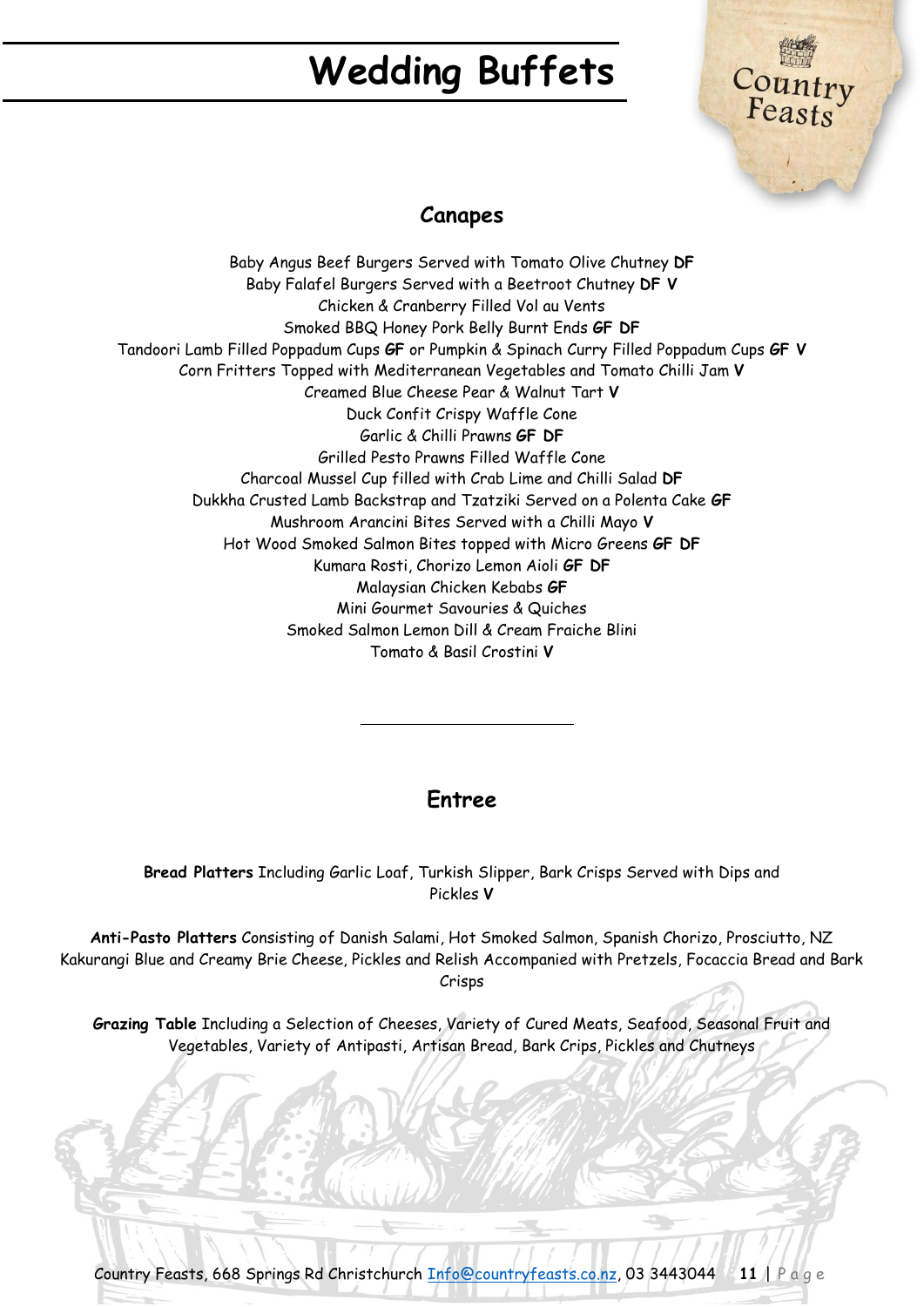

## **Canapes**

Baby Angus Beef Burgers Served with Tomato Olive Chutney **DF** Baby Falafel Burgers Served with a Beetroot Chutney **DF V** Chicken & Cranberry Filled Vol au Vents Smoked BBQ Honey Pork Belly Burnt Ends **GF DF** Tandoori Lamb Filled Poppadum Cups **GF** or Pumpkin & Spinach Curry Filled Poppadum Cups **GF V** Corn Fritters Topped with Mediterranean Vegetables and Tomato Chilli Jam **V** Creamed Blue Cheese Pear & Walnut Tart **V** Duck Confit Crispy Waffle Cone Garlic & Chilli Prawns **GF DF** Grilled Pesto Prawns Filled Waffle Cone Charcoal Mussel Cup filled with Crab Lime and Chilli Salad **DF** Dukkha Crusted Lamb Backstrap and Tzatziki Served on a Polenta Cake **GF** Mushroom Arancini Bites Served with a Chilli Mayo **V** Hot Wood Smoked Salmon Bites topped with Micro Greens **GF DF** Kumara Rosti, Chorizo Lemon Aioli **GF DF** Malaysian Chicken Kebabs **GF** Mini Gourmet Savouries & Quiches Smoked Salmon Lemon Dill & Cream Fraiche Blini Tomato & Basil Crostini **V**

## **Entree**

**Bread Platters** Including Garlic Loaf, Turkish Slipper, Bark Crisps Served with Dips and Pickles **V**

**Anti-Pasto Platters** Consisting of Danish Salami, Hot Smoked Salmon, Spanish Chorizo, Prosciutto, NZ Kakurangi Blue and Creamy Brie Cheese, Pickles and Relish Accompanied with Pretzels, Focaccia Bread and Bark Crisps

**Grazing Table** Including a Selection of Cheeses, Variety of Cured Meats, Seafood, Seasonal Fruit and Vegetables, Variety of Antipasti, Artisan Bread, Bark Crips, Pickles and Chutneys

Country Feasts, 668 Springs Rd Christchurch [Info@countryfeasts.co.nz,](mailto:Info@countryfeasts.co.nz) 03 3443044 **11** | P a g e